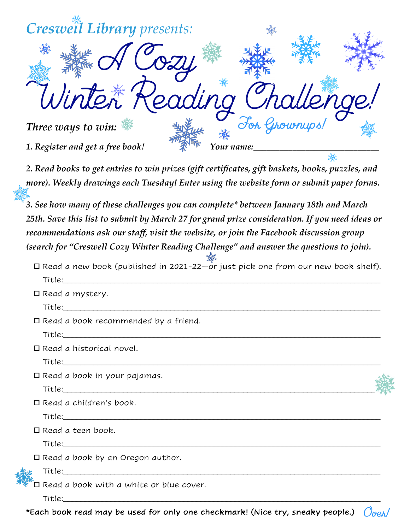| Creswell Library presents:                                                                       |            |  |
|--------------------------------------------------------------------------------------------------|------------|--|
| $\mathscr{A}$ Cozy                                                                               |            |  |
|                                                                                                  |            |  |
| Winter Reading Challenge!                                                                        |            |  |
| Three ways to win:                                                                               |            |  |
| 1. Register and get a free book!                                                                 | Your name: |  |
| 2. Read books to get entries to win prizes (gift certificates, gift baskets, books, puzzles, and |            |  |
| more). Weekly drawings each Tuesday! Enter using the website form or submit paper forms.         |            |  |

*3. See how many of these challenges you can complete\* between January 18th and March 25th. Save this list to submit by March 27 for grand prize consideration. If you need ideas or recommendations ask our staff, visit the website, or join the Facebook discussion group (search for "Creswell Cozy Winter Reading Challenge" and answer the questions to join).* 

| $\Box$ Read a new book (published in 2021-22–or just pick one from our new book shelf). |
|-----------------------------------------------------------------------------------------|
| Title: Title:                                                                           |
| $\Box$ Read a mystery.                                                                  |
| Title: ______                                                                           |

 $\square$  Read a book recommended by a friend.

 $Title:$ 

 $\Box$  Read a historical novel.

 $38$ 

 $Title:$ 

 $\square$  Read a book in your pajamas. Title:\_\_\_\_\_\_\_\_\_\_\_\_\_\_\_\_\_\_\_\_\_\_\_\_\_\_\_\_\_\_\_\_\_\_\_\_\_\_\_\_\_\_\_\_\_\_\_\_\_\_\_\_\_\_\_\_\_\_\_\_\_\_\_\_\_\_\_\_\_\_\_\_\_\_

 $\Box$  Read a children's book.

Title:\_\_\_\_\_\_\_\_\_\_\_\_\_\_\_\_\_\_\_\_\_\_\_\_\_\_\_\_\_\_\_\_\_\_\_\_\_\_\_\_\_\_\_\_\_\_\_\_\_\_\_\_\_\_\_\_\_\_\_\_\_\_\_\_\_\_\_\_\_\_\_\_\_\_

 $\square$  Read a teen book.  $Title:$ 

 $\square$  Read a book by an Oregon author.

Title:\_\_\_\_\_\_\_\_\_\_\_\_\_\_\_\_\_\_\_\_\_\_\_\_\_\_\_\_\_\_\_\_\_\_\_\_\_\_\_\_\_\_\_\_\_\_\_\_\_\_\_\_\_\_\_\_\_\_\_\_\_\_\_\_\_\_\_\_\_\_\_\_\_\_

 $\square$  Read a book with a white or blue cover.

Title:\_\_\_\_\_\_\_\_\_\_\_\_\_\_\_\_\_\_\_\_\_\_\_\_\_\_\_\_\_\_\_\_\_\_\_\_\_\_\_\_\_\_\_\_\_\_\_\_\_\_\_\_\_\_\_\_\_\_\_\_\_\_\_\_\_\_\_\_\_\_\_\_\_\_



 $O<sub>IP</sub>$